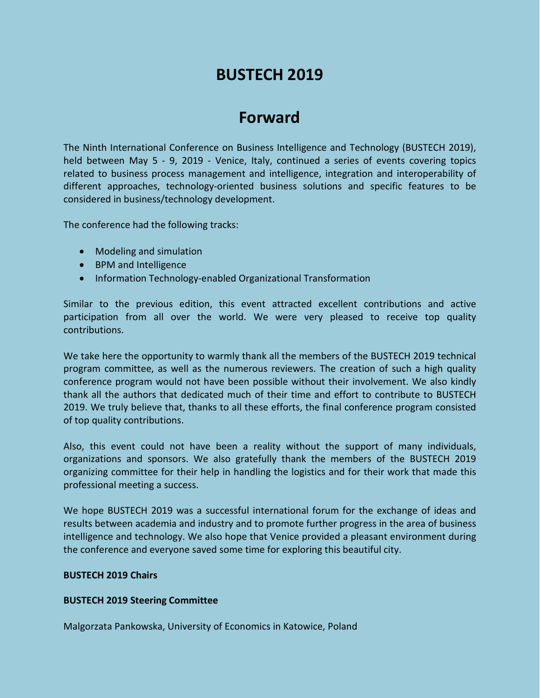# **BUSTECH 2019**

# **Forward**

The Ninth International Conference on Business Intelligence and Technology (BUSTECH 2019), held between May 5 - 9, 2019 - Venice, Italy, continued a series of events covering topics related to business process management and intelligence, integration and interoperability of different approaches, technology-oriented business solutions and specific features to be considered in business/technology development.

The conference had the following tracks:

- Modeling and simulation
- BPM and Intelligence
- Information Technology-enabled Organizational Transformation

Similar to the previous edition, this event attracted excellent contributions and active participation from all over the world. We were very pleased to receive top quality contributions.

We take here the opportunity to warmly thank all the members of the BUSTECH 2019 technical program committee, as well as the numerous reviewers. The creation of such a high quality conference program would not have been possible without their involvement. We also kindly thank all the authors that dedicated much of their time and effort to contribute to BUSTECH 2019. We truly believe that, thanks to all these efforts, the final conference program consisted of top quality contributions.

Also, this event could not have been a reality without the support of many individuals, organizations and sponsors. We also gratefully thank the members of the BUSTECH 2019 organizing committee for their help in handling the logistics and for their work that made this professional meeting a success.

We hope BUSTECH 2019 was a successful international forum for the exchange of ideas and results between academia and industry and to promote further progress in the area of business intelligence and technology. We also hope that Venice provided a pleasant environment during the conference and everyone saved some time for exploring this beautiful city.

#### **BUSTECH 2019 Chairs**

### **BUSTECH 2019 Steering Committee**

Malgorzata Pankowska, University of Economics in Katowice, Poland